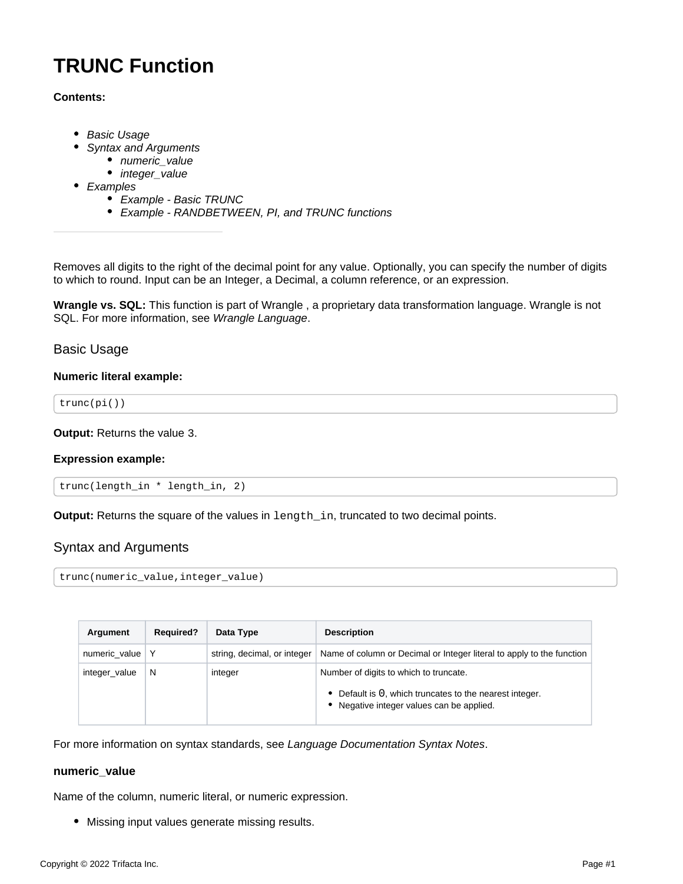# **TRUNC Function**

# **Contents:**

- [Basic Usage](#page-0-0)
- [Syntax and Arguments](#page-0-1)
	- [numeric\\_value](#page-0-2)
	- [integer\\_value](#page-1-0)
- [Examples](#page-1-1)
	- [Example Basic TRUNC](#page-1-2)
	- [Example RANDBETWEEN, PI, and TRUNC functions](#page-2-0)

Removes all digits to the right of the decimal point for any value. Optionally, you can specify the number of digits to which to round. Input can be an Integer, a Decimal, a column reference, or an expression.

**Wrangle vs. SQL:** This function is part of Wrangle , a proprietary data transformation language. Wrangle is not SQL. For more information, see [Wrangle Language](https://docs.trifacta.com/display/SS/Wrangle+Language).

# <span id="page-0-0"></span>Basic Usage

# **Numeric literal example:**

```
trunc(pi())
```
**Output:** Returns the value 3.

# **Expression example:**

```
trunc(length_in * length_in, 2)
```
**Output:** Returns the square of the values in length\_in, truncated to two decimal points.

# <span id="page-0-1"></span>Syntax and Arguments

trunc(numeric\_value,integer\_value)

| Argument      | <b>Required?</b> | Data Type                   | <b>Description</b>                                                                                                                             |
|---------------|------------------|-----------------------------|------------------------------------------------------------------------------------------------------------------------------------------------|
| numeric value |                  | string, decimal, or integer | Name of column or Decimal or Integer literal to apply to the function                                                                          |
| integer_value | N                | integer                     | Number of digits to which to truncate.<br>• Default is 0, which truncates to the nearest integer.<br>• Negative integer values can be applied. |

For more information on syntax standards, see [Language Documentation Syntax Notes](https://docs.trifacta.com/display/SS/Language+Documentation+Syntax+Notes).

# <span id="page-0-2"></span>**numeric\_value**

Name of the column, numeric literal, or numeric expression.

Missing input values generate missing results.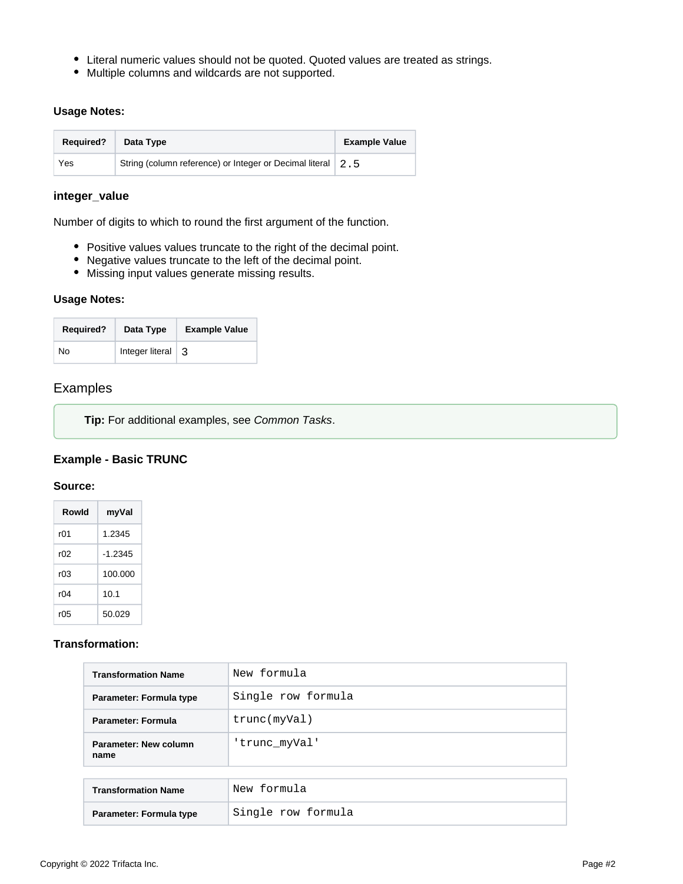- Literal numeric values should not be quoted. Quoted values are treated as strings.
- Multiple columns and wildcards are not supported.

# **Usage Notes:**

| <b>Required?</b> | Data Type                                                   | <b>Example Value</b> |
|------------------|-------------------------------------------------------------|----------------------|
| Yes              | String (column reference) or Integer or Decimal literal 2.5 |                      |

# <span id="page-1-0"></span>**integer\_value**

Number of digits to which to round the first argument of the function.

- Positive values values truncate to the right of the decimal point.
- Negative values truncate to the left of the decimal point.
- Missing input values generate missing results.

#### **Usage Notes:**

| <b>Required?</b> | Data Type       | <b>Example Value</b> |
|------------------|-----------------|----------------------|
| No               | Integer literal | ्र                   |

# <span id="page-1-1"></span>Examples

**Tip:** For additional examples, see [Common Tasks](https://docs.trifacta.com/display/SS/Common+Tasks).

# <span id="page-1-2"></span>**Example - Basic TRUNC**

#### **Source:**

| Rowld | myVal     |
|-------|-----------|
| rN1   | 1.2345    |
| r02   | $-1.2345$ |
| r03   | 100.000   |
| r04   | 10.1      |
| r05   | 50.029    |

# **Transformation:**

| <b>Transformation Name</b>    | New formula        |
|-------------------------------|--------------------|
| Parameter: Formula type       | Single row formula |
| Parameter: Formula            | trunc(myVal)       |
| Parameter: New column<br>name | 'trunc myVal'      |
|                               |                    |
| <b>Transformation Name</b>    | New formula        |
| Parameter: Formula type       | Single row formula |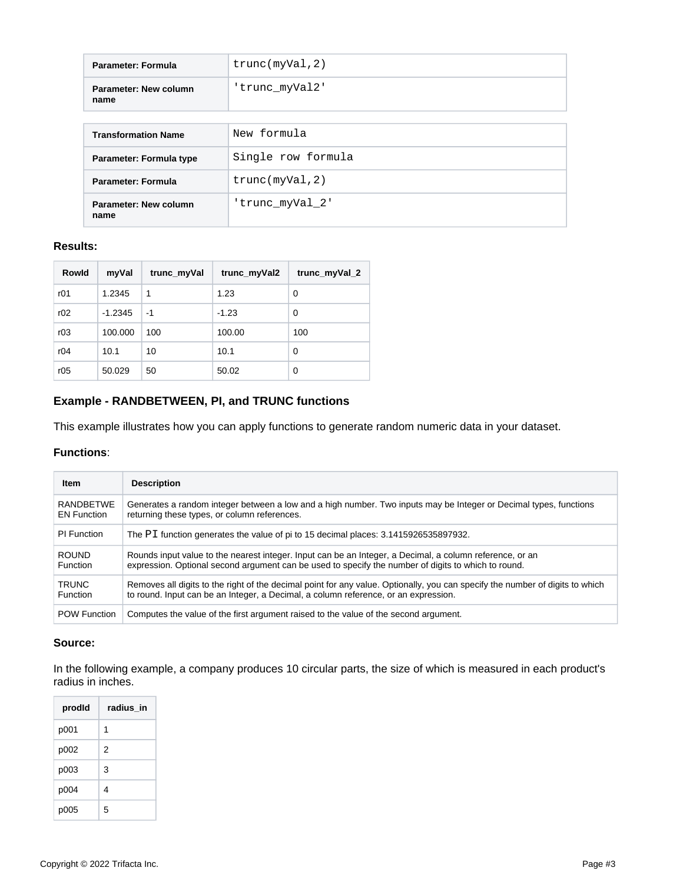| Parameter: Formula            | true(myVal, 2)     |
|-------------------------------|--------------------|
| Parameter: New column<br>name | 'trunc myVal2'     |
|                               |                    |
| <b>Transformation Name</b>    | New formula        |
| Parameter: Formula type       | Single row formula |
| <b>Parameter: Formula</b>     | true(myVal, 2)     |
| Parameter: New column<br>name | 'trunc myVal 2'    |

# **Results:**

| Rowld | myVal     | trunc_myVal | trunc_myVal2 | trunc_myVal_2 |
|-------|-----------|-------------|--------------|---------------|
| r01   | 1.2345    | 1           | 1.23         | 0             |
| r02   | $-1.2345$ | -1          | $-1.23$      | 0             |
| r03   | 100.000   | 100         | 100.00       | 100           |
| r04   | 10.1      | 10          | 10.1         | 0             |
| r05   | 50.029    | 50          | 50.02        | 0             |

# <span id="page-2-0"></span>**Example - RANDBETWEEN, PI, and TRUNC functions**

This example illustrates how you can apply functions to generate random numeric data in your dataset.

#### **Functions**:

| Item                | <b>Description</b>                                                                                                            |
|---------------------|-------------------------------------------------------------------------------------------------------------------------------|
| <b>RANDBETWE</b>    | Generates a random integer between a low and a high number. Two inputs may be Integer or Decimal types, functions             |
| <b>EN Function</b>  | returning these types, or column references.                                                                                  |
| PI Function         | The PI function generates the value of pi to 15 decimal places: 3.1415926535897932.                                           |
| <b>ROUND</b>        | Rounds input value to the nearest integer. Input can be an Integer, a Decimal, a column reference, or an                      |
| Function            | expression. Optional second argument can be used to specify the number of digits to which to round.                           |
| <b>TRUNC</b>        | Removes all digits to the right of the decimal point for any value. Optionally, you can specify the number of digits to which |
| <b>Function</b>     | to round. Input can be an Integer, a Decimal, a column reference, or an expression.                                           |
| <b>POW Function</b> | Computes the value of the first argument raised to the value of the second argument.                                          |

# **Source:**

In the following example, a company produces 10 circular parts, the size of which is measured in each product's radius in inches.

| prodid | radius in |
|--------|-----------|
| p001   | 1         |
| p002   | 2         |
| p003   | 3         |
| p004   | 4         |
| p005   | 5         |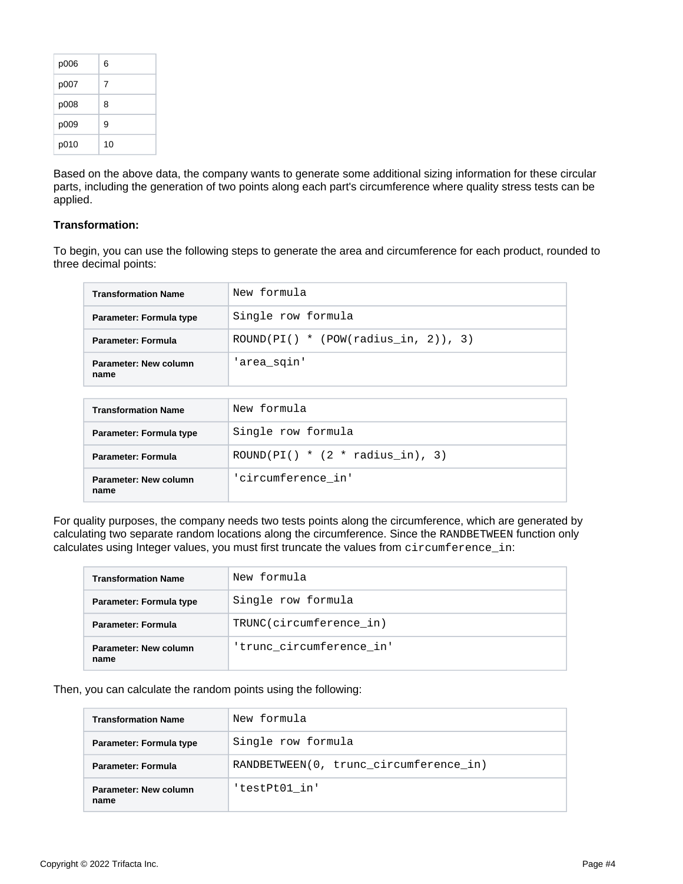| p006 | 6  |
|------|----|
| p007 | 7  |
| p008 | 8  |
| p009 | 9  |
| p010 | 10 |

Based on the above data, the company wants to generate some additional sizing information for these circular parts, including the generation of two points along each part's circumference where quality stress tests can be applied.

# **Transformation:**

To begin, you can use the following steps to generate the area and circumference for each product, rounded to three decimal points:

| <b>Transformation Name</b>    | New formula                            |
|-------------------------------|----------------------------------------|
| Parameter: Formula type       | Single row formula                     |
| <b>Parameter: Formula</b>     | ROUND(PI() $*$ (POW(radius in, 2)), 3) |
| Parameter: New column<br>name | 'area_sqin'                            |

| <b>Transformation Name</b>    | New formula                       |
|-------------------------------|-----------------------------------|
| Parameter: Formula type       | Single row formula                |
| Parameter: Formula            | ROUND(PI() $*(2 * radius in), 3)$ |
| Parameter: New column<br>name | 'circumference in'                |

For quality purposes, the company needs two tests points along the circumference, which are generated by calculating two separate random locations along the circumference. Since the RANDBETWEEN function only calculates using Integer values, you must first truncate the values from circumference\_in:

| <b>Transformation Name</b>    | New formula              |  |  |
|-------------------------------|--------------------------|--|--|
| Parameter: Formula type       | Single row formula       |  |  |
| Parameter: Formula            | TRUNC(circumference in)  |  |  |
| Parameter: New column<br>name | 'trunc circumference in' |  |  |

# Then, you can calculate the random points using the following:

| <b>Transformation Name</b>    | New formula                            |  |  |
|-------------------------------|----------------------------------------|--|--|
| Parameter: Formula type       | Single row formula                     |  |  |
| <b>Parameter: Formula</b>     | RANDBETWEEN(0, trunc circumference in) |  |  |
| Parameter: New column<br>name | 'testPt01 in'                          |  |  |